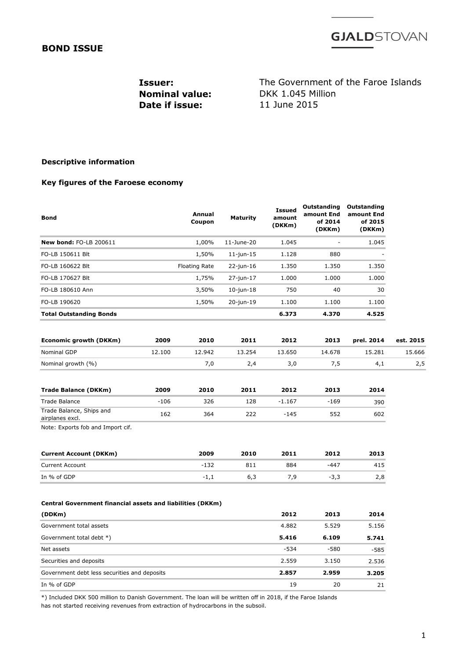### **BOND ISSUE**

**GJALD**STOVAN

**Date if issue:** 

**Issuer:** The Government of the Faroe Islands **Nominal value:** DKK 1.045 Million<br> **Date if issue:** 11 June 2015

### **Descriptive information**

#### **Key figures of the Faroese economy**

| <b>Bond</b>                                                |        | Annual<br>Coupon     | <b>Maturity</b> | <b>Issued</b><br>amount<br>(DKKm) | Outstanding<br>amount End<br>of 2014<br>(DKKm) | Outstanding<br>amount End<br>of 2015<br>(DKKm) |           |
|------------------------------------------------------------|--------|----------------------|-----------------|-----------------------------------|------------------------------------------------|------------------------------------------------|-----------|
| New bond: FO-LB 200611                                     |        | 1,00%                | 11-June-20      | 1.045                             |                                                | 1.045                                          |           |
| FO-LB 150611 Blt                                           |        | 1,50%                | $11$ -jun- $15$ | 1.128                             | 880                                            |                                                |           |
| FO-LB 160622 Blt                                           |        | <b>Floating Rate</b> | $22$ -jun-16    | 1.350                             | 1.350                                          | 1.350                                          |           |
| FO-LB 170627 Blt                                           |        | 1,75%                | 27-jun-17       | 1.000                             | 1.000                                          | 1.000                                          |           |
| FO-LB 180610 Ann                                           |        | 3,50%                | $10$ -jun- $18$ | 750                               | 40                                             | 30                                             |           |
| FO-LB 190620                                               |        | 1,50%                | 20-jun-19       | 1.100                             | 1.100                                          | 1.100                                          |           |
| <b>Total Outstanding Bonds</b>                             |        |                      |                 | 6.373                             | 4.370                                          | 4.525                                          |           |
| Economic growth (DKKm)                                     | 2009   | 2010                 | 2011            | 2012                              | 2013                                           | prel. 2014                                     | est. 2015 |
| <b>Nominal GDP</b>                                         | 12.100 | 12.942               | 13.254          | 13.650                            | 14.678                                         | 15.281                                         | 15.666    |
| Nominal growth (%)                                         |        | 7,0                  | 2,4             | 3,0                               | 7,5                                            | 4,1                                            | 2,5       |
| <b>Trade Balance (DKKm)</b>                                | 2009   | 2010                 | 2011            | 2012                              | 2013                                           | 2014                                           |           |
| Trade Balance                                              | $-106$ | 326                  | 128             | $-1.167$                          | $-169$                                         | 390                                            |           |
| Trade Balance, Ships and<br>airplanes excl.                | 162    | 364                  | 222             | -145                              | 552                                            | 602                                            |           |
| Note: Exports fob and Import cif.                          |        |                      |                 |                                   |                                                |                                                |           |
| <b>Current Account (DKKm)</b>                              |        | 2009                 | 2010            | 2011                              | 2012                                           | 2013                                           |           |
| <b>Current Account</b>                                     |        | $-132$               | 811             | 884                               | -447                                           | 415                                            |           |
| In % of GDP                                                |        | $-1,1$               | 6,3             | 7,9                               | $-3,3$                                         | 2,8                                            |           |
| Central Government financial assets and liabilities (DKKm) |        |                      |                 |                                   |                                                |                                                |           |
| (DDKm)                                                     |        |                      |                 | 2012                              | 2013                                           | 2014                                           |           |
| Government total assets                                    |        |                      |                 | 4.882                             | 5.529                                          | 5.156                                          |           |
| Government total debt *)                                   |        |                      |                 | 5.416                             | 6.109                                          | 5.741                                          |           |
| Net assets                                                 |        |                      |                 | -534                              | -580                                           | -585                                           |           |
| Securities and deposits                                    |        |                      |                 | 2.559                             | 3.150                                          | 2.536                                          |           |
| Government debt less securities and deposits               |        | 2.857                | 2.959           | 3.205                             |                                                |                                                |           |
| In % of GDP                                                |        |                      |                 | 19                                | 20                                             | 21                                             |           |
|                                                            |        |                      |                 |                                   |                                                |                                                |           |

\*) Included DKK 500 million to Danish Government. The loan will be written off in 2018, if the Faroe Islands has not started receiving revenues from extraction of hydrocarbons in the subsoil.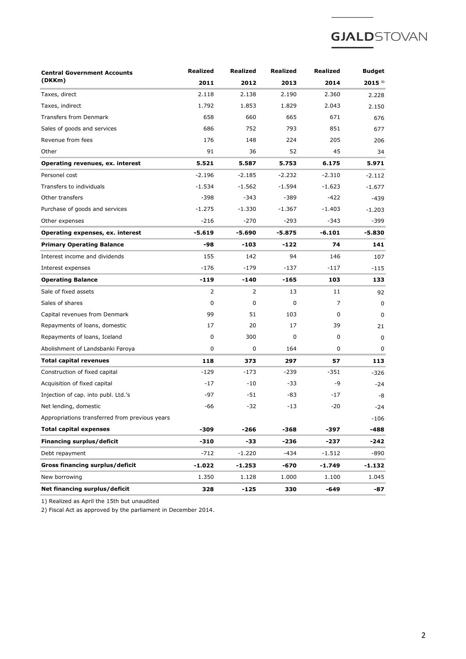# **GJALD**STOVAN

| <b>Central Government Accounts</b>             | <b>Realized</b> | Realized | Realized | <b>Realized</b> | <b>Budget</b> |
|------------------------------------------------|-----------------|----------|----------|-----------------|---------------|
| (DKKm)                                         | 2011            | 2012     | 2013     | 2014            | $2015^{2}$    |
| Taxes, direct                                  | 2.118           | 2.138    | 2.190    | 2.360           | 2.228         |
| Taxes, indirect                                | 1.792           | 1.853    | 1.829    | 2.043           | 2.150         |
| <b>Transfers from Denmark</b>                  | 658             | 660      | 665      | 671             | 676           |
| Sales of goods and services                    | 686             | 752      | 793      | 851             | 677           |
| Revenue from fees                              | 176             | 148      | 224      | 205             | 206           |
| Other                                          | 91              | 36       | 52       | 45              | 34            |
| Operating revenues, ex. interest               | 5.521           | 5.587    | 5.753    | 6.175           | 5.971         |
| Personel cost                                  | $-2.196$        | $-2.185$ | $-2.232$ | $-2.310$        | $-2.112$      |
| Transfers to individuals                       | $-1.534$        | $-1.562$ | $-1.594$ | $-1.623$        | $-1.677$      |
| Other transfers                                | $-398$          | $-343$   | $-389$   | $-422$          | -439          |
| Purchase of goods and services                 | $-1.275$        | $-1.330$ | $-1.367$ | $-1.403$        | $-1.203$      |
| Other expenses                                 | $-216$          | $-270$   | $-293$   | $-343$          | $-399$        |
| Operating expenses, ex. interest               | $-5.619$        | $-5.690$ | $-5.875$ | $-6.101$        | -5.830        |
| <b>Primary Operating Balance</b>               | -98             | -103     | -122     | 74              | 141           |
| Interest income and dividends                  | 155             | 142      | 94       | 146             | 107           |
| Interest expenses                              | $-176$          | $-179$   | $-137$   | $-117$          | $-115$        |
| <b>Operating Balance</b>                       | -119            | -140     | -165     | 103             | 133           |
| Sale of fixed assets                           | 2               | 2        | 13       | 11              | 92            |
| Sales of shares                                | 0               | 0        | 0        | 7               | 0             |
| Capital revenues from Denmark                  | 99              | 51       | 103      | 0               | $\Omega$      |
| Repayments of loans, domestic                  | 17              | 20       | 17       | 39              | 21            |
| Repayments of loans, Iceland                   | 0               | 300      | 0        | 0               | 0             |
| Abolishment of Landsbanki Føroya               | 0               | 0        | 164      | 0               | 0             |
| <b>Total capital revenues</b>                  | 118             | 373      | 297      | 57              | 113           |
| Construction of fixed capital                  | $-129$          | -173     | $-239$   | -351            | -326          |
| Acquisition of fixed capital                   | $-17$           | $-10$    | -33      | -9              | $-24$         |
| Injection of cap. into publ. Ltd.'s            | -97             | -51      | -83      | -17             | -8            |
| Net lending, domestic                          | -66             | $-32$    | -13      | $-20$           | -24           |
| Appropriations transferred from previous years |                 |          |          |                 | $-106$        |
| <b>Total capital expenses</b>                  | -309            | -266     | -368     | -397            | -488          |
| Financing surplus/deficit                      | -310            | -33      | -236     | -237            | -242          |
| Debt repayment                                 | -712            | $-1.220$ | -434     | $-1.512$        | -890          |
| Gross financing surplus/deficit                | -1.022          | $-1.253$ | -670     | -1.749          | -1.132        |
| New borrowing                                  | 1.350           | 1.128    | 1.000    | 1.100           | 1.045         |
| Net financing surplus/deficit                  | 328             | -125     | 330      | $-649$          | -87           |

1) Realized as April the 15th but unaudited

2) Fiscal Act as approved by the parliament in December 2014.